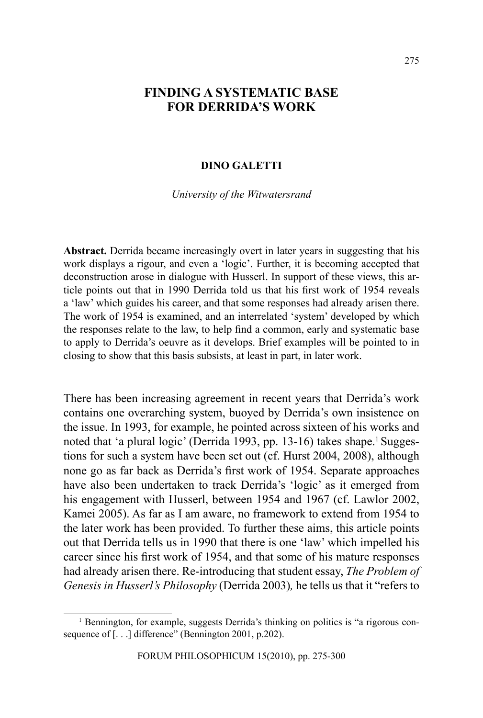# **FINDING A SYSTEMATIC BASE FOR DERRIDA'S WORK**

## **DINO GALETTI**

*University of the Witwatersrand*

**Abstract.** Derrida became increasingly overt in later years in suggesting that his work displays a rigour, and even a 'logic'. Further, it is becoming accepted that deconstruction arose in dialogue with Husserl. In support of these views, this article points out that in 1990 Derrida told us that his first work of 1954 reveals a 'law' which guides his career, and that some responses had already arisen there. The work of 1954 is examined, and an interrelated 'system' developed by which the responses relate to the law, to help find a common, early and systematic base to apply to Derrida's oeuvre as it develops. Brief examples will be pointed to in closing to show that this basis subsists, at least in part, in later work.

There has been increasing agreement in recent years that Derrida's work contains one overarching system, buoyed by Derrida's own insistence on the issue. In 1993, for example, he pointed across sixteen of his works and noted that 'a plural logic' (Derrida 1993, pp. 13-16) takes shape.<sup>1</sup> Suggestions for such a system have been set out (cf. Hurst 2004, 2008), although none go as far back as Derrida's first work of 1954. Separate approaches have also been undertaken to track Derrida's 'logic' as it emerged from his engagement with Husserl, between 1954 and 1967 (cf. Lawlor 2002, Kamei 2005). As far as I am aware, no framework to extend from 1954 to the later work has been provided. To further these aims, this article points out that Derrida tells us in 1990 that there is one 'law' which impelled his career since his first work of 1954, and that some of his mature responses had already arisen there. Re-introducing that student essay, *The Problem of Genesis in Husserl's Philosophy* (Derrida 2003)*,* he tells us that it "refers to

<sup>&</sup>lt;sup>1</sup> Bennington, for example, suggests Derrida's thinking on politics is "a rigorous consequence of [...] difference" (Bennington 2001, p.202).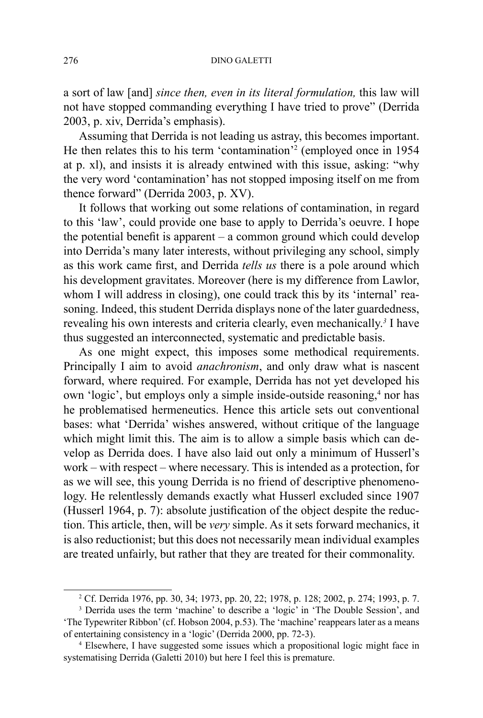a sort of law [and] *since then, even in its literal formulation,* this law will not have stopped commanding everything I have tried to prove" (Derrida 2003, p. xiv, Derrida's emphasis).

Assuming that Derrida is not leading us astray, this becomes important. He then relates this to his term 'contamination'2 (employed once in 1954 at p. xl), and insists it is already entwined with this issue, asking: "why the very word 'contamination' has not stopped imposing itself on me from thence forward" (Derrida 2003, p. XV).

It follows that working out some relations of contamination, in regard to this 'law', could provide one base to apply to Derrida's oeuvre. I hope the potential benefit is apparent – a common ground which could develop into Derrida's many later interests, without privileging any school, simply as this work came first, and Derrida *tells us* there is a pole around which his development gravitates. Moreover (here is my difference from Lawlor, whom I will address in closing), one could track this by its 'internal' reasoning. Indeed, this student Derrida displays none of the later guardedness, revealing his own interests and criteria clearly, even mechanically.<sup>3</sup> I have thus suggested an interconnected, systematic and predictable basis.

As one might expect, this imposes some methodical requirements. Principally I aim to avoid *anachronism*, and only draw what is nascent forward, where required. For example, Derrida has not yet developed his own 'logic', but employs only a simple inside-outside reasoning,<sup>4</sup> nor has he problematised hermeneutics. Hence this article sets out conventional bases: what 'Derrida' wishes answered, without critique of the language which might limit this. The aim is to allow a simple basis which can develop as Derrida does. I have also laid out only a minimum of Husserl's work – with respect – where necessary. This is intended as a protection, for as we will see, this young Derrida is no friend of descriptive phenomenology. He relentlessly demands exactly what Husserl excluded since 1907 (Husserl 1964, p. 7): absolute justification of the object despite the reduction. This article, then, will be *very* simple. As it sets forward mechanics, it is also reductionist; but this does not necessarily mean individual examples are treated unfairly, but rather that they are treated for their commonality.

<sup>2</sup> Cf. Derrida 1976, pp. 30, 34; 1973, pp. 20, 22; 1978, p. 128; 2002, p. 274; 1993, p. 7.

<sup>&</sup>lt;sup>3</sup> Derrida uses the term 'machine' to describe a 'logic' in 'The Double Session', and 'The Typewriter Ribbon' (cf. Hobson 2004, p.53). The 'machine' reappears later as a means of entertaining consistency in a 'logic' (Derrida 2000, pp. 72-3).

<sup>4</sup> Elsewhere, I have suggested some issues which a propositional logic might face in systematising Derrida (Galetti 2010) but here I feel this is premature.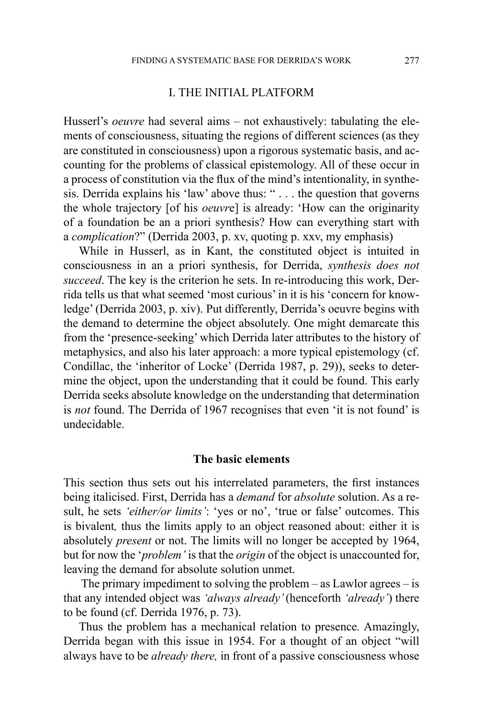# I. THE INITIAL PLATFORM

Husserl's *oeuvre* had several aims – not exhaustively: tabulating the elements of consciousness, situating the regions of different sciences (as they are constituted in consciousness) upon a rigorous systematic basis, and accounting for the problems of classical epistemology. All of these occur in a process of constitution via the flux of the mind's intentionality, in synthesis. Derrida explains his 'law' above thus: " . . . the question that governs the whole trajectory [of his *oeuvr*e] is already: 'How can the originarity of a foundation be an a priori synthesis? How can everything start with a *complication*?" (Derrida 2003, p. xv, quoting p. xxv, my emphasis)

While in Husserl, as in Kant, the constituted object is intuited in consciousness in an a priori synthesis, for Derrida, *synthesis does not succeed*. The key is the criterion he sets. In re-introducing this work, Derrida tells us that what seemed 'most curious' in it is his 'concern for knowledge' (Derrida 2003, p. xiv). Put differently, Derrida's oeuvre begins with the demand to determine the object absolutely. One might demarcate this from the 'presence-seeking' which Derrida later attributes to the history of metaphysics, and also his later approach: a more typical epistemology (cf. Condillac, the 'inheritor of Locke' (Derrida 1987, p. 29)), seeks to determine the object, upon the understanding that it could be found. This early Derrida seeks absolute knowledge on the understanding that determination is *not* found. The Derrida of 1967 recognises that even 'it is not found' is undecidable.

## **The basic elements**

This section thus sets out his interrelated parameters, the first instances being italicised. First, Derrida has a *demand* for *absolute* solution. As a result, he sets *'either/or limits'*: 'yes or no', 'true or false' outcomes. This is bivalent*,* thus the limits apply to an object reasoned about: either it is absolutely *present* or not. The limits will no longer be accepted by 1964, but for now the '*problem'* is that the *origin* of the object is unaccounted for, leaving the demand for absolute solution unmet.

 The primary impediment to solving the problem – as Lawlor agrees – is that any intended object was *'always already'* (henceforth *'already'*) there to be found (cf. Derrida 1976, p. 73).

Thus the problem has a mechanical relation to presence*.* Amazingly, Derrida began with this issue in 1954. For a thought of an object "will always have to be *already there,* in front of a passive consciousness whose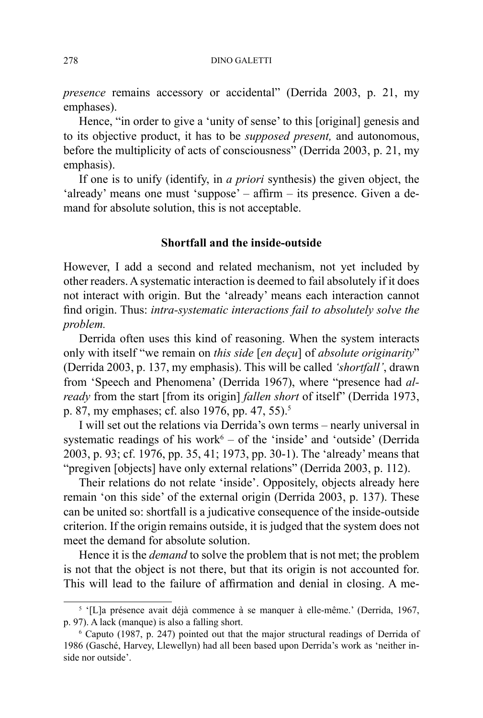*presence* remains accessory or accidental" (Derrida 2003, p. 21, my emphases).

Hence, "in order to give a 'unity of sense' to this [original] genesis and to its objective product, it has to be *supposed present,* and autonomous, before the multiplicity of acts of consciousness" (Derrida 2003, p. 21, my emphasis).

If one is to unify (identify, in *a priori* synthesis) the given object, the 'already' means one must 'suppose' – affirm – its presence. Given a demand for absolute solution, this is not acceptable.

# **Shortfall and the inside-outside**

However, I add a second and related mechanism, not yet included by other readers. Asystematic interaction is deemed to fail absolutely if it does not interact with origin. But the 'already' means each interaction cannot find origin. Thus: *intra-systematic interactions fail to absolutely solve the problem.*

Derrida often uses this kind of reasoning. When the system interacts only with itself "we remain on *this side* [*en deçu*] of *absolute originarity*" (Derrida 2003, p. 137, my emphasis). This will be called *'shortfall'*, drawn from 'Speech and Phenomena' (Derrida 1967), where "presence had *already* from the start [from its origin] *fallen short* of itself" (Derrida 1973, p. 87, my emphases; cf. also 1976, pp. 47, 55).<sup>5</sup>

I will set out the relations via Derrida's own terms – nearly universal in systematic readings of his work $6 -$  of the 'inside' and 'outside' (Derrida 2003, p. 93; cf. 1976, pp. 35, 41; 1973, pp. 30-1). The 'already' means that "pregiven [objects] have only external relations" (Derrida 2003, p. 112).

Their relations do not relate 'inside'. Oppositely, objects already here remain 'on this side' of the external origin (Derrida 2003, p. 137). These can be united so: shortfall is a judicative consequence of the inside-outside criterion. If the origin remains outside, it is judged that the system does not meet the demand for absolute solution.

Hence it is the *demand* to solve the problem that is not met; the problem is not that the object is not there, but that its origin is not accounted for. This will lead to the failure of affirmation and denial in closing. A me-

<sup>&</sup>lt;sup>5</sup> '[L]a présence avait déjà commence à se manquer à elle-même.' (Derrida, 1967, p. 97). A lack (manque) is also a falling short.

<sup>6</sup> Caputo (1987, p. 247) pointed out that the major structural readings of Derrida of 1986 (Gasché, Harvey, Llewellyn) had all been based upon Derrida's work as 'neither inside nor outside'.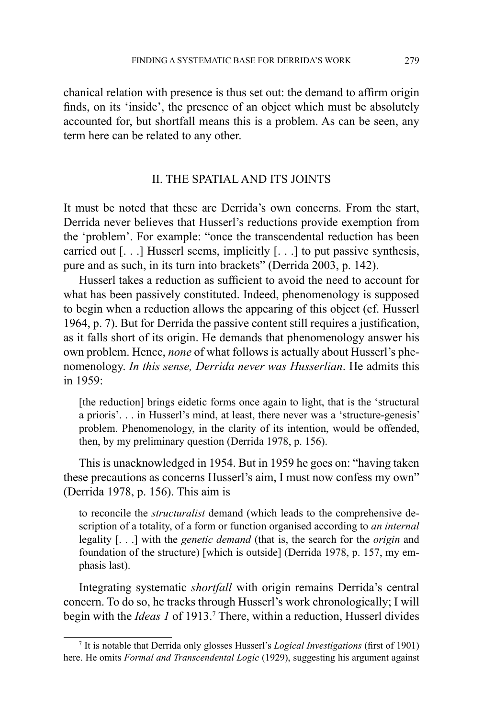chanical relation with presence is thus set out: the demand to affirm origin finds, on its 'inside', the presence of an object which must be absolutely accounted for, but shortfall means this is a problem. As can be seen, any term here can be related to any other.

# II. THE SPATIAL AND ITS JOINTS

It must be noted that these are Derrida's own concerns. From the start, Derrida never believes that Husserl's reductions provide exemption from the 'problem'. For example: "once the transcendental reduction has been carried out [. . .] Husserl seems, implicitly [. . .] to put passive synthesis, pure and as such, in its turn into brackets" (Derrida 2003, p. 142).

Husserl takes a reduction as sufficient to avoid the need to account for what has been passively constituted. Indeed, phenomenology is supposed to begin when a reduction allows the appearing of this object (cf. Husserl 1964, p. 7). But for Derrida the passive content still requires a justification, as it falls short of its origin. He demands that phenomenology answer his own problem. Hence, *none* of what follows is actually about Husserl's phenomenology. *In this sense, Derrida never was Husserlian*. He admits this in 1959:

[the reduction] brings eidetic forms once again to light, that is the 'structural a prioris'. . . in Husserl's mind, at least, there never was a 'structure-genesis' problem. Phenomenology, in the clarity of its intention, would be offended, then, by my preliminary question (Derrida 1978, p. 156).

This is unacknowledged in 1954. But in 1959 he goes on: "having taken these precautions as concerns Husserl's aim, I must now confess my own" (Derrida 1978, p. 156). This aim is

to reconcile the *structuralist* demand (which leads to the comprehensive description of a totality, of a form or function organised according to *an internal* legality [. . .] with the *genetic demand* (that is, the search for the *origin* and foundation of the structure) [which is outside] (Derrida 1978, p. 157, my emphasis last).

Integrating systematic *shortfall* with origin remains Derrida's central concern. To do so, he tracks through Husserl's work chronologically; I will begin with the *Ideas 1* of 1913.7 There, within a reduction, Husserl divides

<sup>7</sup> It is notable that Derrida only glosses Husserl's *Logical Investigations* (first of 1901) here. He omits *Formal and Transcendental Logic* (1929), suggesting his argument against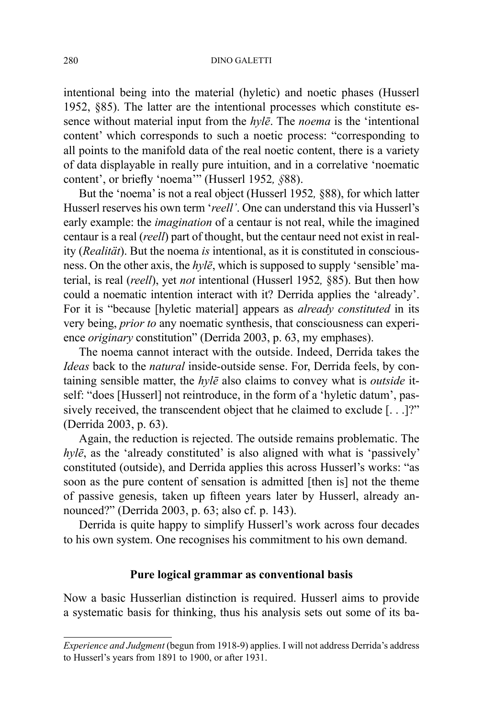intentional being into the material (hyletic) and noetic phases (Husserl 1952, §85). The latter are the intentional processes which constitute essence without material input from the *hylē*. The *noema* is the 'intentional content' which corresponds to such a noetic process: "corresponding to all points to the manifold data of the real noetic content, there is a variety of data displayable in really pure intuition, and in a correlative 'noematic content', or briefly 'noema'" (Husserl 1952*, §*88).

But the 'noema' is not a real object (Husserl 1952*,* §88), for which latter Husserl reserves his own term '*reell'*. One can understand this via Husserl's early example: the *imagination* of a centaur is not real, while the imagined centaur is a real (*reell*) part of thought, but the centaur need not exist in reality (*Realität*). But the noema *is* intentional, as it is constituted in consciousness. On the other axis, the *hylē*, which is supposed to supply 'sensible' material, is real (*reell*), yet *not* intentional (Husserl 1952*,* §85). But then how could a noematic intention interact with it? Derrida applies the 'already'. For it is "because [hyletic material] appears as *already constituted* in its very being, *prior to* any noematic synthesis, that consciousness can experience *originary* constitution" (Derrida 2003, p. 63, my emphases).

The noema cannot interact with the outside. Indeed, Derrida takes the *Ideas* back to the *natural* inside-outside sense. For, Derrida feels, by containing sensible matter, the *hylē* also claims to convey what is *outside* itself: "does [Husserl] not reintroduce, in the form of a 'hyletic datum', passively received, the transcendent object that he claimed to exclude [. . .]?" (Derrida 2003, p. 63).

Again, the reduction is rejected. The outside remains problematic. The *hylē*, as the 'already constituted' is also aligned with what is 'passively' constituted (outside), and Derrida applies this across Husserl's works: "as soon as the pure content of sensation is admitted [then is] not the theme of passive genesis, taken up fifteen years later by Husserl, already announced?" (Derrida 2003, p. 63; also cf. p. 143).

Derrida is quite happy to simplify Husserl's work across four decades to his own system. One recognises his commitment to his own demand.

# **Pure logical grammar as conventional basis**

Now a basic Husserlian distinction is required. Husserl aims to provide a systematic basis for thinking, thus his analysis sets out some of its ba-

*Experience and Judgment* (begun from 1918-9) applies. I will not address Derrida's address to Husserl's years from 1891 to 1900, or after 1931.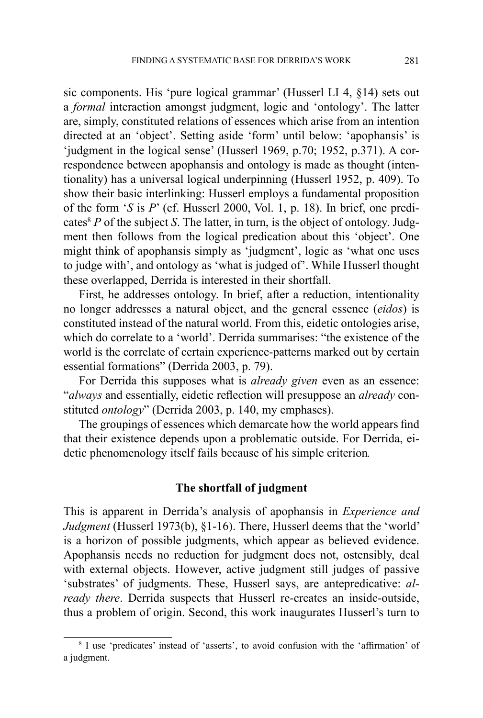sic components. His 'pure logical grammar' (Husserl LI 4, §14) sets out a *formal* interaction amongst judgment, logic and 'ontology'. The latter are, simply, constituted relations of essences which arise from an intention directed at an 'object'. Setting aside 'form' until below: 'apophansis' is 'judgment in the logical sense' (Husserl 1969, p.70; 1952, p.371). A correspondence between apophansis and ontology is made as thought (intentionality) has a universal logical underpinning (Husserl 1952, p. 409). To show their basic interlinking: Husserl employs a fundamental proposition of the form '*S* is *P*' (cf. Husserl 2000, Vol. 1, p. 18). In brief, one predicates<sup>8</sup>  $P$  of the subject  $S$ . The latter, in turn, is the object of ontology. Judgment then follows from the logical predication about this 'object'. One might think of apophansis simply as 'judgment', logic as 'what one uses to judge with', and ontology as 'what is judged of'. While Husserl thought these overlapped, Derrida is interested in their shortfall.

First, he addresses ontology. In brief, after a reduction, intentionality no longer addresses a natural object, and the general essence (*eidos*) is constituted instead of the natural world. From this, eidetic ontologies arise, which do correlate to a 'world'. Derrida summarises: "the existence of the world is the correlate of certain experience-patterns marked out by certain essential formations" (Derrida 2003, p. 79).

For Derrida this supposes what is *already given* even as an essence: "*always* and essentially, eidetic reflection will presuppose an *already* constituted *ontology*" (Derrida 2003, p. 140, my emphases).

The groupings of essences which demarcate how the world appears find that their existence depends upon a problematic outside. For Derrida, eidetic phenomenology itself fails because of his simple criterion*.*

## **The shortfall of judgment**

This is apparent in Derrida's analysis of apophansis in *Experience and Judgment* (Husserl 1973(b), §1-16). There, Husserl deems that the 'world' is a horizon of possible judgments, which appear as believed evidence. Apophansis needs no reduction for judgment does not, ostensibly, deal with external objects. However, active judgment still judges of passive 'substrates' of judgments. These, Husserl says, are antepredicative: *already there*. Derrida suspects that Husserl re-creates an inside-outside, thus a problem of origin. Second, this work inaugurates Husserl's turn to

<sup>&</sup>lt;sup>8</sup> I use 'predicates' instead of 'asserts', to avoid confusion with the 'affirmation' of a judgment.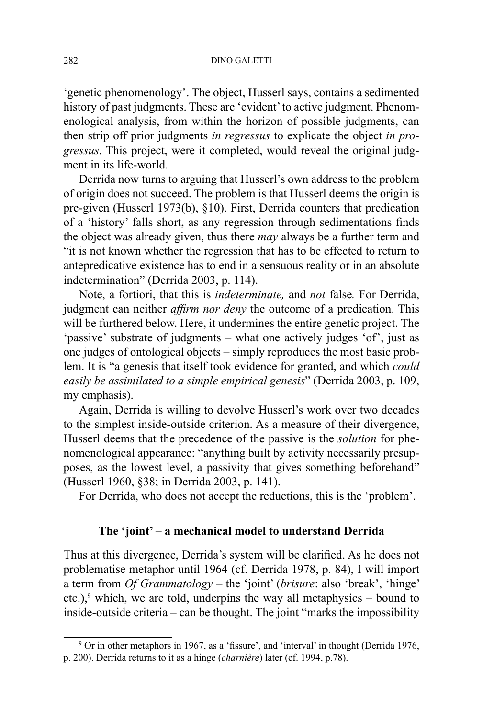'genetic phenomenology'. The object, Husserl says, contains a sedimented history of past judgments. These are 'evident' to active judgment. Phenomenological analysis, from within the horizon of possible judgments, can then strip off prior judgments *in regressus* to explicate the object *in progressus*. This project, were it completed, would reveal the original judgment in its life-world.

Derrida now turns to arguing that Husserl's own address to the problem of origin does not succeed. The problem is that Husserl deems the origin is pre-given (Husserl 1973(b), §10). First, Derrida counters that predication of a 'history' falls short, as any regression through sedimentations finds the object was already given, thus there *may* always be a further term and "it is not known whether the regression that has to be effected to return to antepredicative existence has to end in a sensuous reality or in an absolute indetermination" (Derrida 2003, p. 114).

Note, a fortiori, that this is *indeterminate,* and *not* false*.* For Derrida, judgment can neither *affirm nor deny* the outcome of a predication. This will be furthered below. Here, it undermines the entire genetic project. The 'passive' substrate of judgments – what one actively judges 'of', just as one judges of ontological objects – simply reproduces the most basic problem. It is "a genesis that itself took evidence for granted, and which *could easily be assimilated to a simple empirical genesis*" (Derrida 2003, p. 109, my emphasis).

Again, Derrida is willing to devolve Husserl's work over two decades to the simplest inside-outside criterion. As a measure of their divergence, Husserl deems that the precedence of the passive is the *solution* for phenomenological appearance: "anything built by activity necessarily presupposes, as the lowest level, a passivity that gives something beforehand" (Husserl 1960, §38; in Derrida 2003, p. 141).

For Derrida, who does not accept the reductions, this is the 'problem'.

# **The 'joint' – a mechanical model to understand Derrida**

Thus at this divergence, Derrida's system will be clarified. As he does not problematise metaphor until 1964 (cf. Derrida 1978, p. 84), I will import a term from *Of Grammatology –* the 'joint' (*brisure*: also 'break', 'hinge' etc.),<sup>9</sup> which, we are told, underpins the way all metaphysics – bound to inside-outside criteria – can be thought. The joint "marks the impossibility

<sup>9</sup> Or in other metaphors in 1967, as a 'fissure', and 'interval' in thought (Derrida 1976, p. 200). Derrida returns to it as a hinge (*charnière*) later (cf. 1994, p.78).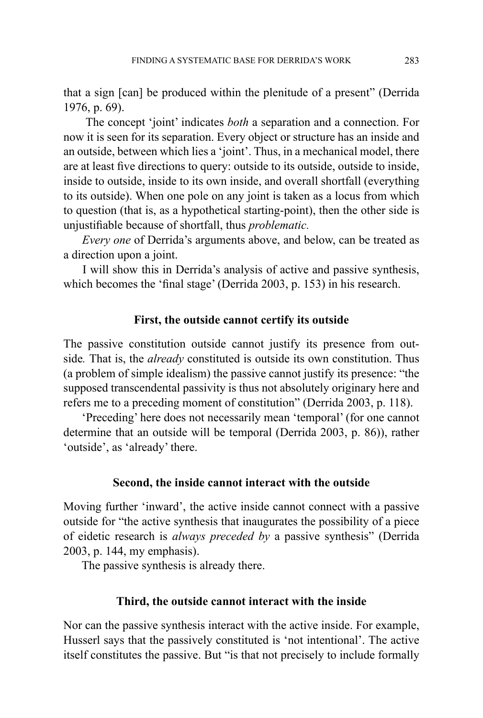that a sign [can] be produced within the plenitude of a present" (Derrida 1976, p. 69).

 The concept 'joint' indicates *both* a separation and a connection. For now it is seen for its separation. Every object or structure has an inside and an outside, between which lies a 'joint'. Thus, in a mechanical model, there are at least five directions to query: outside to its outside, outside to inside, inside to outside, inside to its own inside, and overall shortfall (everything to its outside). When one pole on any joint is taken as a locus from which to question (that is, as a hypothetical starting-point), then the other side is unjustifiable because of shortfall, thus *problematic.*

*Every one* of Derrida's arguments above, and below, can be treated as a direction upon a joint.

 I will show this in Derrida's analysis of active and passive synthesis, which becomes the 'final stage' (Derrida 2003, p. 153) in his research.

# **First, the outside cannot certify its outside**

The passive constitution outside cannot justify its presence from outside*.* That is, the *already* constituted is outside its own constitution. Thus (a problem of simple idealism) the passive cannot justify its presence: "the supposed transcendental passivity is thus not absolutely originary here and refers me to a preceding moment of constitution" (Derrida 2003, p. 118).

 'Preceding' here does not necessarily mean 'temporal' (for one cannot determine that an outside will be temporal (Derrida 2003, p. 86)), rather 'outside', as 'already' there.

# **Second, the inside cannot interact with the outside**

Moving further 'inward', the active inside cannot connect with a passive outside for "the active synthesis that inaugurates the possibility of a piece of eidetic research is *always preceded by* a passive synthesis" (Derrida 2003, p. 144, my emphasis).

The passive synthesis is already there.

## **Third, the outside cannot interact with the inside**

Nor can the passive synthesis interact with the active inside. For example, Husserl says that the passively constituted is 'not intentional'. The active itself constitutes the passive. But "is that not precisely to include formally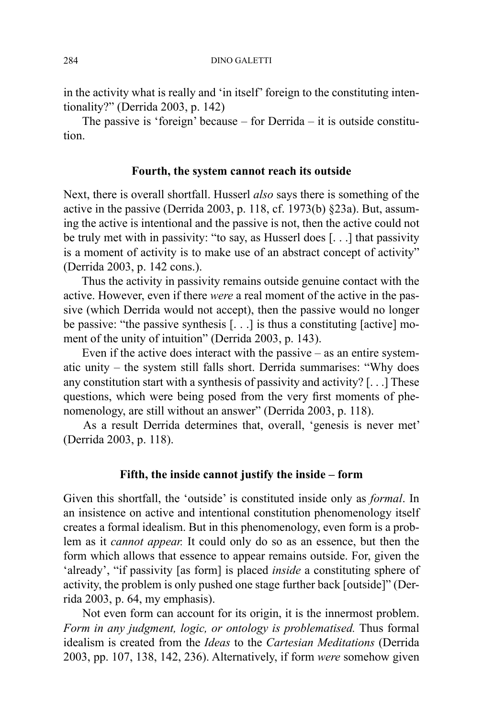in the activity what is really and 'in itself' foreign to the constituting intentionality?" (Derrida 2003, p. 142)

 The passive is 'foreign' because – for Derrida – it is outside constitution.

## **Fourth, the system cannot reach its outside**

Next, there is overall shortfall. Husserl *also* says there is something of the active in the passive (Derrida 2003, p. 118, cf. 1973(b) §23a). But, assuming the active is intentional and the passive is not, then the active could not be truly met with in passivity: "to say, as Husserl does [. . .] that passivity is a moment of activity is to make use of an abstract concept of activity" (Derrida 2003, p. 142 cons.).

 Thus the activity in passivity remains outside genuine contact with the active. However, even if there *were* a real moment of the active in the passive (which Derrida would not accept), then the passive would no longer be passive: "the passive synthesis [. . .] is thus a constituting [active] moment of the unity of intuition" (Derrida 2003, p. 143).

Even if the active does interact with the passive  $-$  as an entire systematic unity – the system still falls short. Derrida summarises: "Why does any constitution start with a synthesis of passivity and activity? [. . .] These questions, which were being posed from the very first moments of phenomenology, are still without an answer" (Derrida 2003, p. 118).

 As a result Derrida determines that, overall, 'genesis is never met' (Derrida 2003, p. 118).

## **Fifth, the inside cannot justify the inside – form**

Given this shortfall, the 'outside' is constituted inside only as *formal*. In an insistence on active and intentional constitution phenomenology itself creates a formal idealism. But in this phenomenology, even form is a problem as it *cannot appear.* It could only do so as an essence, but then the form which allows that essence to appear remains outside. For, given the 'already', "if passivity [as form] is placed *inside* a constituting sphere of activity, the problem is only pushed one stage further back [outside]" (Derrida 2003, p. 64, my emphasis).

 Not even form can account for its origin, it is the innermost problem. *Form in any judgment, logic, or ontology is problematised.* Thus formal idealism is created from the *Ideas* to the *Cartesian Meditations* (Derrida 2003, pp. 107, 138, 142, 236). Alternatively, if form *were* somehow given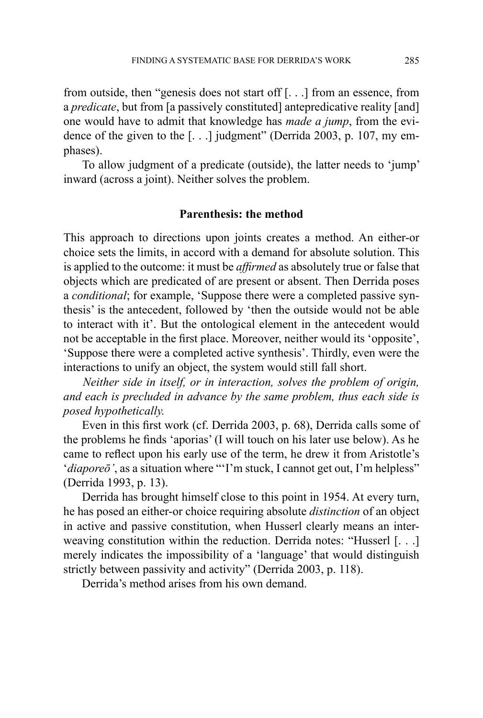from outside, then "genesis does not start off [. . .] from an essence, from a *predicate*, but from [a passively constituted] antepredicative reality [and] one would have to admit that knowledge has *made a jump*, from the evidence of the given to the [. . .] judgment" (Derrida 2003, p. 107, my emphases).

 To allow judgment of a predicate (outside), the latter needs to 'jump' inward (across a joint). Neither solves the problem.

# **Parenthesis: the method**

This approach to directions upon joints creates a method. An either-or choice sets the limits, in accord with a demand for absolute solution. This is applied to the outcome: it must be *affirmed* as absolutely true or false that objects which are predicated of are present or absent. Then Derrida poses a *conditional*; for example, 'Suppose there were a completed passive synthesis' is the antecedent, followed by 'then the outside would not be able to interact with it'. But the ontological element in the antecedent would not be acceptable in the first place. Moreover, neither would its 'opposite', 'Suppose there were a completed active synthesis'. Thirdly, even were the interactions to unify an object, the system would still fall short.

 *Neither side in itself, or in interaction, solves the problem of origin, and each is precluded in advance by the same problem, thus each side is posed hypothetically.* 

 Even in this first work (cf. Derrida 2003, p. 68), Derrida calls some of the problems he finds 'aporias' (I will touch on his later use below). As he came to reflect upon his early use of the term, he drew it from Aristotle's '*diaporeō*', as a situation where "'I'm stuck, I cannot get out, I'm helpless" (Derrida 1993, p. 13).

 Derrida has brought himself close to this point in 1954. At every turn, he has posed an either-or choice requiring absolute *distinction* of an object in active and passive constitution, when Husserl clearly means an interweaving constitution within the reduction. Derrida notes: "Husserl [. . .] merely indicates the impossibility of a 'language' that would distinguish strictly between passivity and activity" (Derrida 2003, p. 118).

Derrida's method arises from his own demand.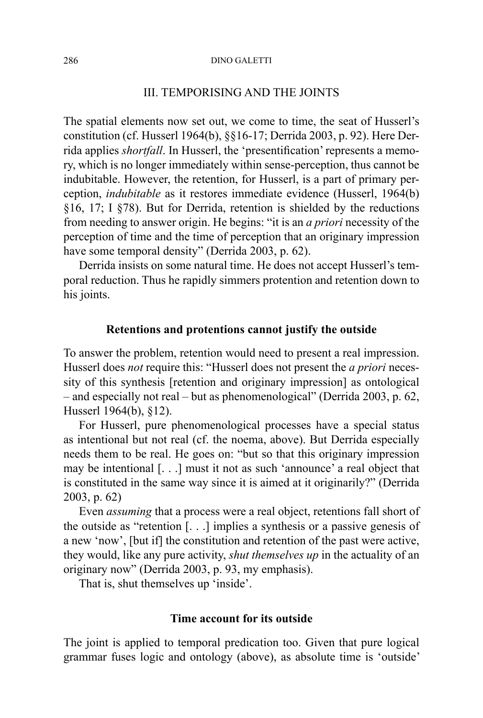# III. TEMPORISING AND THE JOINTS

The spatial elements now set out, we come to time, the seat of Husserl's constitution (cf. Husserl 1964(b), §§16-17; Derrida 2003, p. 92). Here Derrida applies *shortfall*. In Husserl, the 'presentification' represents a memory, which is no longer immediately within sense-perception, thus cannot be indubitable. However, the retention, for Husserl, is a part of primary perception, *indubitable* as it restores immediate evidence (Husserl, 1964(b) §16, 17; I §78). But for Derrida, retention is shielded by the reductions from needing to answer origin. He begins: "it is an *a priori* necessity of the perception of time and the time of perception that an originary impression have some temporal density" (Derrida 2003, p. 62).

Derrida insists on some natural time. He does not accept Husserl's temporal reduction. Thus he rapidly simmers protention and retention down to his joints.

# **Retentions and protentions cannot justify the outside**

To answer the problem, retention would need to present a real impression. Husserl does *not* require this: "Husserl does not present the *a priori* necessity of this synthesis [retention and originary impression] as ontological – and especially not real – but as phenomenological" (Derrida 2003, p. 62, Husserl 1964(b), §12).

For Husserl, pure phenomenological processes have a special status as intentional but not real (cf. the noema, above). But Derrida especially needs them to be real. He goes on: "but so that this originary impression may be intentional [. . .] must it not as such 'announce' a real object that is constituted in the same way since it is aimed at it originarily?" (Derrida 2003, p. 62)

Even *assuming* that a process were a real object, retentions fall short of the outside as "retention [. . .] implies a synthesis or a passive genesis of a new 'now', [but if] the constitution and retention of the past were active, they would, like any pure activity, *shut themselves up* in the actuality of an originary now" (Derrida 2003, p. 93, my emphasis).

That is, shut themselves up 'inside'.

# **Time account for its outside**

The joint is applied to temporal predication too. Given that pure logical grammar fuses logic and ontology (above), as absolute time is 'outside'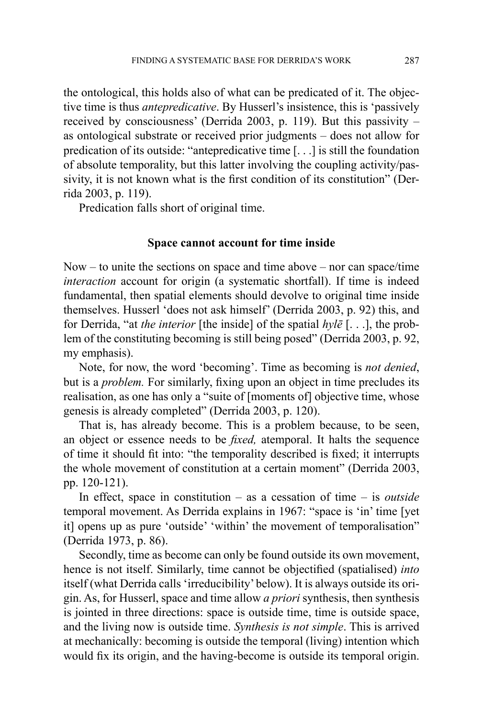the ontological, this holds also of what can be predicated of it. The objective time is thus *antepredicative*. By Husserl's insistence, this is 'passively received by consciousness' (Derrida 2003, p. 119). But this passivity – as ontological substrate or received prior judgments – does not allow for predication of its outside: "antepredicative time [. . .] is still the foundation of absolute temporality, but this latter involving the coupling activity/passivity, it is not known what is the first condition of its constitution" (Derrida 2003, p. 119).

Predication falls short of original time.

## **Space cannot account for time inside**

Now – to unite the sections on space and time above – nor can space/time *interaction* account for origin (a systematic shortfall). If time is indeed fundamental, then spatial elements should devolve to original time inside themselves. Husserl 'does not ask himself' (Derrida 2003, p. 92) this, and for Derrida, "at *the interior* [the inside] of the spatial *hylē* [. . .], the problem of the constituting becoming is still being posed" (Derrida 2003, p. 92, my emphasis).

Note, for now, the word 'becoming'. Time as becoming is *not denied*, but is a *problem.* For similarly, fixing upon an object in time precludes its realisation, as one has only a "suite of [moments of] objective time, whose genesis is already completed" (Derrida 2003, p. 120).

That is, has already become. This is a problem because, to be seen, an object or essence needs to be *fixed,* atemporal. It halts the sequence of time it should fit into: "the temporality described is fixed; it interrupts the whole movement of constitution at a certain moment" (Derrida 2003, pp. 120-121).

In effect, space in constitution – as a cessation of time – is *outside* temporal movement. As Derrida explains in 1967: "space is 'in' time [yet it] opens up as pure 'outside' 'within' the movement of temporalisation" (Derrida 1973, p. 86).

Secondly, time as become can only be found outside its own movement, hence is not itself. Similarly, time cannot be objectified (spatialised) *into* itself (what Derrida calls 'irreducibility' below). It is always outside its origin. As, for Husserl, space and time allow *a priori* synthesis, then synthesis is jointed in three directions: space is outside time, time is outside space, and the living now is outside time. *Synthesis is not simple*. This is arrived at mechanically: becoming is outside the temporal (living) intention which would fix its origin, and the having-become is outside its temporal origin.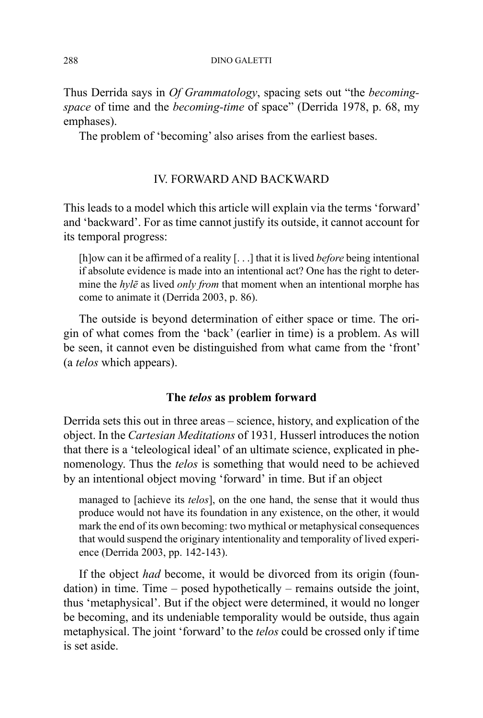Thus Derrida says in *Of Grammatology*, spacing sets out "the *becomingspace* of time and the *becoming-time* of space" (Derrida 1978, p. 68, my emphases).

The problem of 'becoming' also arises from the earliest bases.

# IV. FORWARD AND BACKWARD

This leads to a model which this article will explain via the terms 'forward' and 'backward'. For as time cannot justify its outside, it cannot account for its temporal progress:

[h]ow can it be affirmed of a reality [. . .] that it is lived *before* being intentional if absolute evidence is made into an intentional act? One has the right to determine the *hylē* as lived *only from* that moment when an intentional morphe has come to animate it (Derrida 2003, p. 86).

The outside is beyond determination of either space or time. The origin of what comes from the 'back' (earlier in time) is a problem. As will be seen, it cannot even be distinguished from what came from the 'front' (a *telos* which appears).

# **The** *telos* **as problem forward**

Derrida sets this out in three areas – science, history, and explication of the object. In the *Cartesian Meditations* of 1931*,* Husserl introduces the notion that there is a 'teleological ideal' of an ultimate science, explicated in phenomenology. Thus the *telos* is something that would need to be achieved by an intentional object moving 'forward' in time. But if an object

managed to [achieve its *telos*], on the one hand, the sense that it would thus produce would not have its foundation in any existence, on the other, it would mark the end of its own becoming: two mythical or metaphysical consequences that would suspend the originary intentionality and temporality of lived experience (Derrida 2003, pp. 142-143).

If the object *had* become, it would be divorced from its origin (foundation) in time. Time – posed hypothetically – remains outside the joint, thus 'metaphysical'. But if the object were determined, it would no longer be becoming, and its undeniable temporality would be outside, thus again metaphysical. The joint 'forward' to the *telos* could be crossed only if time is set aside.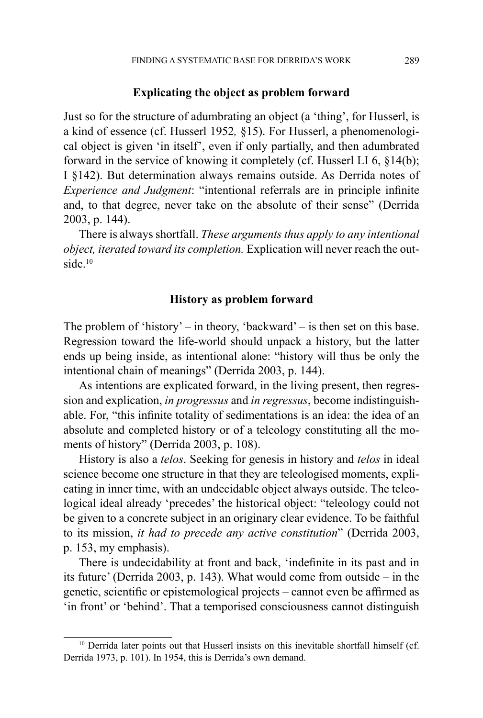## **Explicating the object as problem forward**

Just so for the structure of adumbrating an object (a 'thing', for Husserl, is a kind of essence (cf. Husserl 1952*,* §15). For Husserl, a phenomenological object is given 'in itself', even if only partially, and then adumbrated forward in the service of knowing it completely (cf. Husserl LI 6, §14(b); I §142). But determination always remains outside. As Derrida notes of *Experience and Judgment*: "intentional referrals are in principle infinite and, to that degree, never take on the absolute of their sense" (Derrida 2003, p. 144).

There is always shortfall. *These arguments thus apply to any intentional object, iterated toward its completion.* Explication will never reach the outside.10

## **History as problem forward**

The problem of 'history' – in theory, 'backward' – is then set on this base. Regression toward the life-world should unpack a history, but the latter ends up being inside, as intentional alone: "history will thus be only the intentional chain of meanings" (Derrida 2003, p. 144).

As intentions are explicated forward, in the living present, then regression and explication, *in progressus* and *in regressus*, become indistinguishable. For, "this infinite totality of sedimentations is an idea: the idea of an absolute and completed history or of a teleology constituting all the moments of history" (Derrida 2003, p. 108).

History is also a *telos*. Seeking for genesis in history and *telos* in ideal science become one structure in that they are teleologised moments, explicating in inner time, with an undecidable object always outside. The teleological ideal already 'precedes' the historical object: "teleology could not be given to a concrete subject in an originary clear evidence. To be faithful to its mission, *it had to precede any active constitution*" (Derrida 2003, p. 153, my emphasis).

There is undecidability at front and back, 'indefinite in its past and in its future' (Derrida 2003, p. 143). What would come from outside – in the genetic, scientific or epistemological projects – cannot even be affirmed as 'in front' or 'behind'. That a temporised consciousness cannot distinguish

<sup>&</sup>lt;sup>10</sup> Derrida later points out that Husserl insists on this inevitable shortfall himself (cf. Derrida 1973, p. 101). In 1954, this is Derrida's own demand.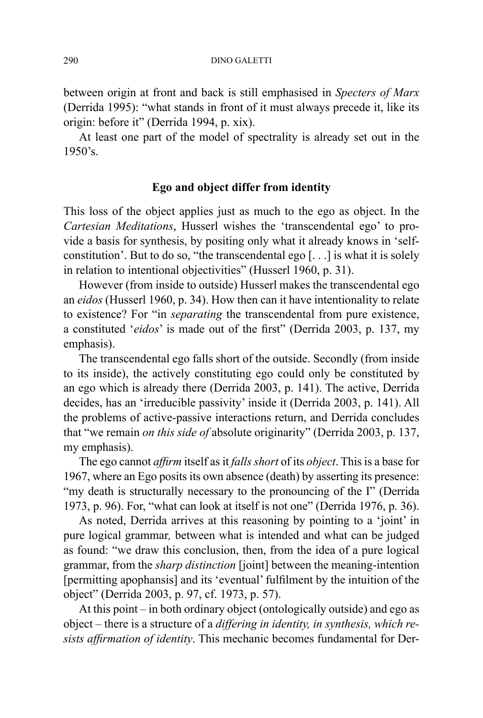between origin at front and back is still emphasised in *Specters of Marx* (Derrida 1995): "what stands in front of it must always precede it, like its origin: before it" (Derrida 1994, p. xix).

At least one part of the model of spectrality is already set out in the 1950's.

# **Ego and object differ from identity**

This loss of the object applies just as much to the ego as object. In the *Cartesian Meditations*, Husserl wishes the 'transcendental ego' to provide a basis for synthesis, by positing only what it already knows in 'selfconstitution'. But to do so, "the transcendental ego [. . .] is what it is solely in relation to intentional objectivities" (Husserl 1960, p. 31).

However (from inside to outside) Husserl makes the transcendental ego an *eidos* (Husserl 1960, p. 34). How then can it have intentionality to relate to existence? For "in *separating* the transcendental from pure existence, a constituted '*eidos*' is made out of the first" (Derrida 2003, p. 137, my emphasis).

The transcendental ego falls short of the outside. Secondly (from inside to its inside), the actively constituting ego could only be constituted by an ego which is already there (Derrida 2003, p. 141). The active, Derrida decides, has an 'irreducible passivity' inside it (Derrida 2003, p. 141). All the problems of active-passive interactions return, and Derrida concludes that "we remain *on this side of* absolute originarity" (Derrida 2003, p. 137, my emphasis).

The ego cannot *affirm* itself as it *falls short* of its *object*. This is a base for 1967, where an Ego posits its own absence (death) by asserting its presence: "my death is structurally necessary to the pronouncing of the I" (Derrida 1973, p. 96). For, "what can look at itself is not one" (Derrida 1976, p. 36).

As noted, Derrida arrives at this reasoning by pointing to a 'joint' in pure logical grammar*,* between what is intended and what can be judged as found: "we draw this conclusion, then, from the idea of a pure logical grammar, from the *sharp distinction* [joint] between the meaning-intention [permitting apophansis] and its 'eventual' fulfilment by the intuition of the object" (Derrida 2003, p. 97, cf. 1973, p. 57).

At this point – in both ordinary object (ontologically outside) and ego as object – there is a structure of a *differing in identity, in synthesis, which resists affirmation of identity*. This mechanic becomes fundamental for Der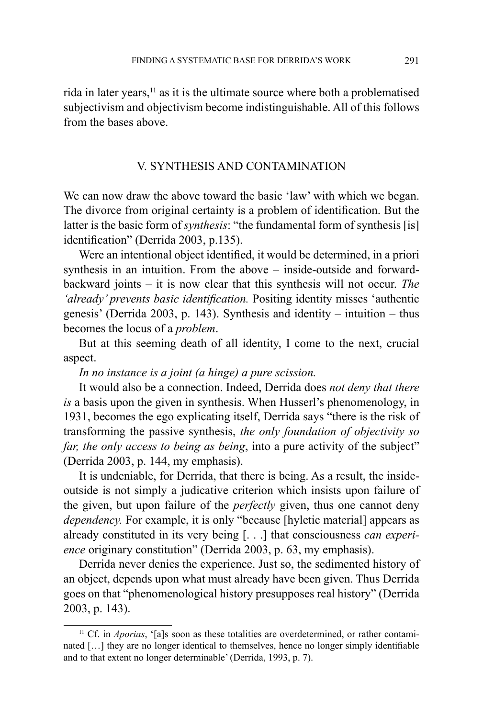rida in later years, $<sup>11</sup>$  as it is the ultimate source where both a problematised</sup> subjectivism and objectivism become indistinguishable. All of this follows from the bases above.

# V. SYNTHESIS AND CONTAMINATION

We can now draw the above toward the basic 'law' with which we began. The divorce from original certainty is a problem of identification. But the latter is the basic form of *synthesis*: "the fundamental form of synthesis [is] identification" (Derrida 2003, p.135).

Were an intentional object identified, it would be determined, in a priori synthesis in an intuition. From the above – inside-outside and forwardbackward joints – it is now clear that this synthesis will not occur. *The 'already' prevents basic identification.* Positing identity misses 'authentic genesis' (Derrida 2003, p. 143). Synthesis and identity – intuition – thus becomes the locus of a *problem*.

But at this seeming death of all identity, I come to the next, crucial aspect.

*In no instance is a joint (a hinge) a pure scission.* 

It would also be a connection. Indeed, Derrida does *not deny that there is* a basis upon the given in synthesis. When Husserl's phenomenology, in 1931, becomes the ego explicating itself, Derrida says "there is the risk of transforming the passive synthesis, *the only foundation of objectivity so far, the only access to being as being*, into a pure activity of the subject" (Derrida 2003, p. 144, my emphasis).

It is undeniable, for Derrida, that there is being. As a result, the insideoutside is not simply a judicative criterion which insists upon failure of the given, but upon failure of the *perfectly* given, thus one cannot deny *dependency*. For example, it is only "because [hyletic material] appears as already constituted in its very being [. . .] that consciousness *can experience* originary constitution" (Derrida 2003, p. 63, my emphasis).

Derrida never denies the experience. Just so, the sedimented history of an object, depends upon what must already have been given. Thus Derrida goes on that "phenomenological history presupposes real history" (Derrida 2003, p. 143).

<sup>&</sup>lt;sup>11</sup> Cf. in *Aporias*, '[a]s soon as these totalities are overdetermined, or rather contaminated […] they are no longer identical to themselves, hence no longer simply identifiable and to that extent no longer determinable' (Derrida, 1993, p. 7).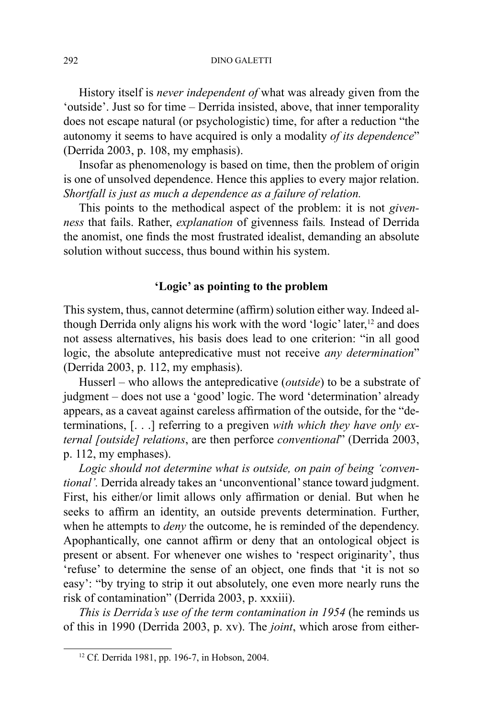History itself is *never independent of* what was already given from the 'outside'. Just so for time – Derrida insisted, above, that inner temporality does not escape natural (or psychologistic) time, for after a reduction "the autonomy it seems to have acquired is only a modality *of its dependence*" (Derrida 2003, p. 108, my emphasis).

Insofar as phenomenology is based on time, then the problem of origin is one of unsolved dependence. Hence this applies to every major relation. *Shortfall is just as much a dependence as a failure of relation.*

This points to the methodical aspect of the problem: it is not *givenness* that fails. Rather, *explanation* of givenness fails*.* Instead of Derrida the anomist, one finds the most frustrated idealist, demanding an absolute solution without success, thus bound within his system.

# **'Logic' as pointing to the problem**

This system, thus, cannot determine (affirm) solution either way. Indeed although Derrida only aligns his work with the word 'logic' later,<sup>12</sup> and does not assess alternatives, his basis does lead to one criterion: "in all good logic, the absolute antepredicative must not receive *any determination*" (Derrida 2003, p. 112, my emphasis).

Husserl – who allows the antepredicative (*outside*) to be a substrate of judgment – does not use a 'good' logic. The word 'determination' already appears, as a caveat against careless affirmation of the outside, for the "determinations, [. . .] referring to a pregiven *with which they have only external [outside] relations*, are then perforce *conventional*" (Derrida 2003, p. 112, my emphases).

*Logic should not determine what is outside, on pain of being 'conventional'.* Derrida already takes an 'unconventional' stance toward judgment. First, his either/or limit allows only affirmation or denial. But when he seeks to affirm an identity, an outside prevents determination. Further, when he attempts to *deny* the outcome, he is reminded of the dependency. Apophantically, one cannot affirm or deny that an ontological object is present or absent. For whenever one wishes to 'respect originarity', thus 'refuse' to determine the sense of an object, one finds that 'it is not so easy': "by trying to strip it out absolutely, one even more nearly runs the risk of contamination" (Derrida 2003, p. xxxiii).

*This is Derrida's use of the term contamination in 1954* (he reminds us of this in 1990 (Derrida 2003, p. xv). The *joint*, which arose from either-

<sup>12</sup> Cf. Derrida 1981, pp. 196-7, in Hobson, 2004.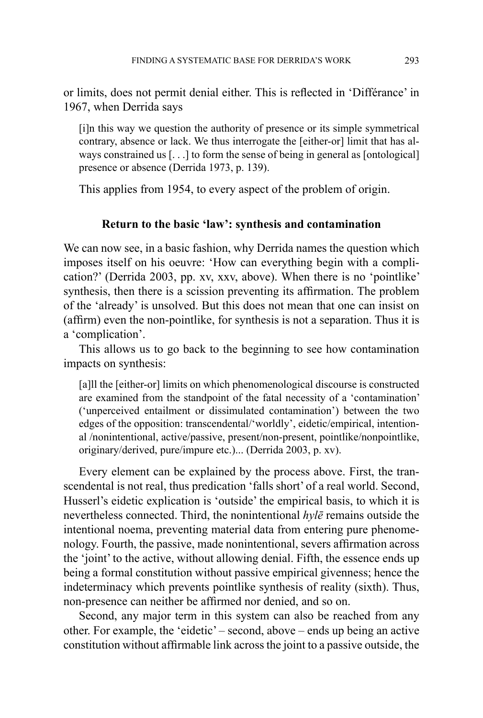or limits, does not permit denial either. This is reflected in 'Différance' in 1967, when Derrida says

[i]n this way we question the authority of presence or its simple symmetrical contrary, absence or lack. We thus interrogate the [either-or] limit that has always constrained us [. . .] to form the sense of being in general as [ontological] presence or absence (Derrida 1973, p. 139).

This applies from 1954, to every aspect of the problem of origin.

# **Return to the basic 'law': synthesis and contamination**

We can now see, in a basic fashion, why Derrida names the question which imposes itself on his oeuvre: 'How can everything begin with a complication?' (Derrida 2003, pp. xv, xxv, above). When there is no 'pointlike' synthesis, then there is a scission preventing its affirmation. The problem of the 'already' is unsolved. But this does not mean that one can insist on (affirm) even the non-pointlike, for synthesis is not a separation. Thus it is a 'complication'.

This allows us to go back to the beginning to see how contamination impacts on synthesis:

[a]ll the [either-or] limits on which phenomenological discourse is constructed are examined from the standpoint of the fatal necessity of a 'contamination' ('unperceived entailment or dissimulated contamination') between the two edges of the opposition: transcendental/'worldly', eidetic/empirical, intentional /nonintentional, active/passive, present/non-present, pointlike/nonpointlike, originary/derived, pure/impure etc.)... (Derrida 2003, p. xv).

Every element can be explained by the process above. First, the transcendental is not real, thus predication 'falls short' of a real world. Second, Husserl's eidetic explication is 'outside' the empirical basis, to which it is nevertheless connected. Third, the nonintentional *hylē* remains outside the intentional noema, preventing material data from entering pure phenomenology. Fourth, the passive, made nonintentional, severs affirmation across the 'joint' to the active, without allowing denial. Fifth, the essence ends up being a formal constitution without passive empirical givenness; hence the indeterminacy which prevents pointlike synthesis of reality (sixth). Thus, non-presence can neither be affirmed nor denied, and so on.

Second, any major term in this system can also be reached from any other. For example, the 'eidetic' – second, above – ends up being an active constitution without affirmable link across the joint to a passive outside, the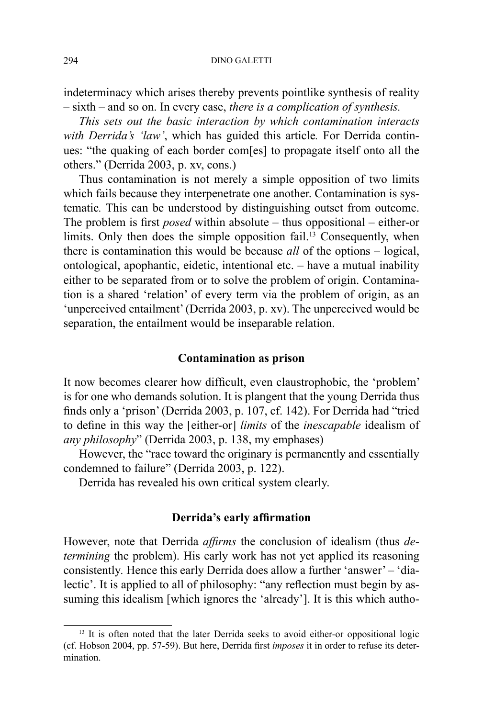indeterminacy which arises thereby prevents pointlike synthesis of reality – sixth – and so on. In every case, *there is a complication of synthesis.*

*This sets out the basic interaction by which contamination interacts with Derrida's 'law'*, which has guided this article*.* For Derrida continues: "the quaking of each border com[es] to propagate itself onto all the others." (Derrida 2003, p. xv, cons.)

Thus contamination is not merely a simple opposition of two limits which fails because they interpenetrate one another. Contamination is systematic*.* This can be understood by distinguishing outset from outcome. The problem is first *posed* within absolute – thus oppositional – either-or limits. Only then does the simple opposition fail.<sup>13</sup> Consequently, when there is contamination this would be because *all* of the options – logical, ontological, apophantic, eidetic, intentional etc. – have a mutual inability either to be separated from or to solve the problem of origin. Contamination is a shared 'relation' of every term via the problem of origin, as an 'unperceived entailment' (Derrida 2003, p. xv). The unperceived would be separation, the entailment would be inseparable relation.

## **Contamination as prison**

It now becomes clearer how difficult, even claustrophobic, the 'problem' is for one who demands solution. It is plangent that the young Derrida thus finds only a 'prison' (Derrida 2003, p. 107, cf. 142). For Derrida had "tried to define in this way the [either-or] *limits* of the *inescapable* idealism of *any philosophy*" (Derrida 2003, p. 138, my emphases)

However, the "race toward the originary is permanently and essentially condemned to failure" (Derrida 2003, p. 122).

Derrida has revealed his own critical system clearly.

## **Derrida's early affirmation**

However, note that Derrida *affirms* the conclusion of idealism (thus *determining* the problem). His early work has not yet applied its reasoning consistently*.* Hence this early Derrida does allow a further 'answer' – 'dialectic'. It is applied to all of philosophy: "any reflection must begin by assuming this idealism [which ignores the 'already']. It is this which autho-

<sup>&</sup>lt;sup>13</sup> It is often noted that the later Derrida seeks to avoid either-or oppositional logic (cf. Hobson 2004, pp. 57-59). But here, Derrida first *imposes* it in order to refuse its determination.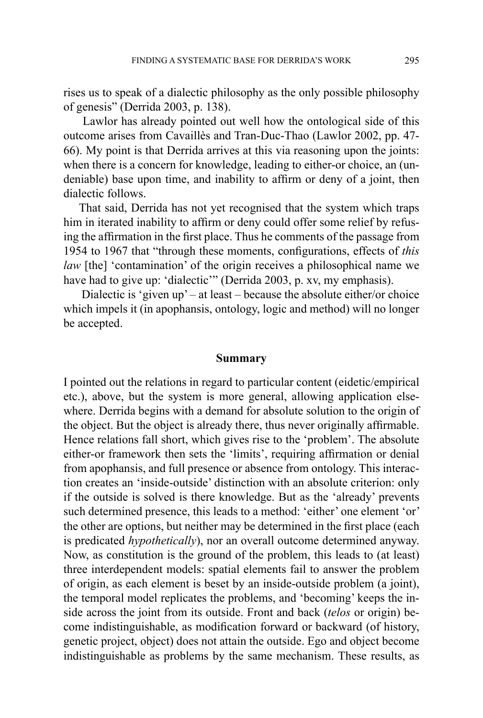rises us to speak of a dialectic philosophy as the only possible philosophy of genesis" (Derrida 2003, p. 138).

 Lawlor has already pointed out well how the ontological side of this outcome arises from Cavaillès and Tran-Duc-Thao (Lawlor 2002, pp. 47- 66). My point is that Derrida arrives at this via reasoning upon the joints: when there is a concern for knowledge, leading to either-or choice, an (undeniable) base upon time, and inability to affirm or deny of a joint, then dialectic follows.

That said, Derrida has not yet recognised that the system which traps him in iterated inability to affirm or deny could offer some relief by refusing the affirmation in the first place. Thus he comments of the passage from 1954 to 1967 that "through these moments, configurations, effects of *this law* [the] 'contamination' of the origin receives a philosophical name we have had to give up: 'dialectic'" (Derrida 2003, p. xv, my emphasis).

Dialectic is 'given  $up'$  – at least – because the absolute either/or choice which impels it (in apophansis, ontology, logic and method) will no longer be accepted.

### **Summary**

I pointed out the relations in regard to particular content (eidetic/empirical etc.), above, but the system is more general, allowing application elsewhere. Derrida begins with a demand for absolute solution to the origin of the object. But the object is already there, thus never originally affirmable. Hence relations fall short, which gives rise to the 'problem'. The absolute either-or framework then sets the 'limits', requiring affirmation or denial from apophansis, and full presence or absence from ontology. This interaction creates an 'inside-outside' distinction with an absolute criterion: only if the outside is solved is there knowledge. But as the 'already' prevents such determined presence, this leads to a method: 'either' one element 'or' the other are options, but neither may be determined in the first place (each is predicated *hypothetically*), nor an overall outcome determined anyway. Now, as constitution is the ground of the problem, this leads to (at least) three interdependent models: spatial elements fail to answer the problem of origin, as each element is beset by an inside-outside problem (a joint), the temporal model replicates the problems, and 'becoming' keeps the inside across the joint from its outside. Front and back (*telos* or origin) become indistinguishable, as modification forward or backward (of history, genetic project, object) does not attain the outside. Ego and object become indistinguishable as problems by the same mechanism. These results, as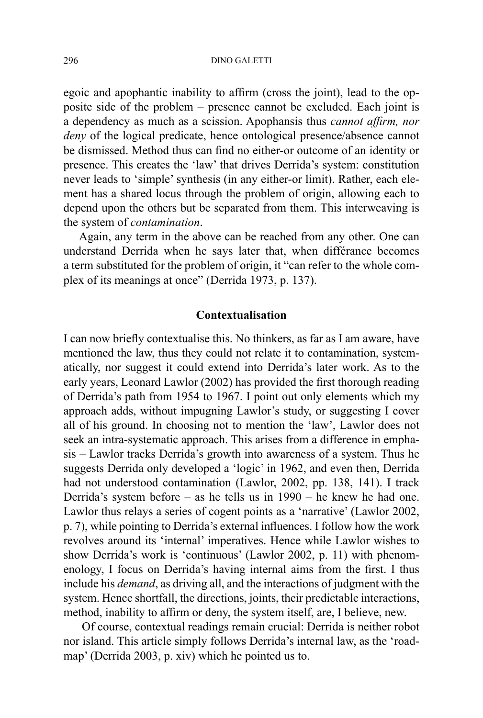egoic and apophantic inability to affirm (cross the joint), lead to the opposite side of the problem – presence cannot be excluded. Each joint is a dependency as much as a scission. Apophansis thus *cannot affirm, nor deny* of the logical predicate, hence ontological presence/absence cannot be dismissed. Method thus can find no either-or outcome of an identity or presence. This creates the 'law' that drives Derrida's system: constitution never leads to 'simple' synthesis (in any either-or limit). Rather, each element has a shared locus through the problem of origin, allowing each to depend upon the others but be separated from them. This interweaving is the system of *contamination*.

Again, any term in the above can be reached from any other. One can understand Derrida when he says later that, when différance becomes a term substituted for the problem of origin, it "can refer to the whole complex of its meanings at once" (Derrida 1973, p. 137).

# **Contextualisation**

I can now briefly contextualise this. No thinkers, as far as I am aware, have mentioned the law, thus they could not relate it to contamination, systematically, nor suggest it could extend into Derrida's later work. As to the early years, Leonard Lawlor (2002) has provided the first thorough reading of Derrida's path from 1954 to 1967. I point out only elements which my approach adds, without impugning Lawlor's study, or suggesting I cover all of his ground. In choosing not to mention the 'law', Lawlor does not seek an intra-systematic approach. This arises from a difference in emphasis – Lawlor tracks Derrida's growth into awareness of a system. Thus he suggests Derrida only developed a 'logic' in 1962, and even then, Derrida had not understood contamination (Lawlor, 2002, pp. 138, 141). I track Derrida's system before – as he tells us in 1990 – he knew he had one. Lawlor thus relays a series of cogent points as a 'narrative' (Lawlor 2002, p. 7), while pointing to Derrida's external influences. I follow how the work revolves around its 'internal' imperatives. Hence while Lawlor wishes to show Derrida's work is 'continuous' (Lawlor 2002, p. 11) with phenomenology, I focus on Derrida's having internal aims from the first. I thus include his *demand*, as driving all, and the interactions of judgment with the system. Hence shortfall, the directions, joints, their predictable interactions, method, inability to affirm or deny, the system itself, are, I believe, new.

Of course, contextual readings remain crucial: Derrida is neither robot nor island. This article simply follows Derrida's internal law, as the 'roadmap' (Derrida 2003, p. xiv) which he pointed us to.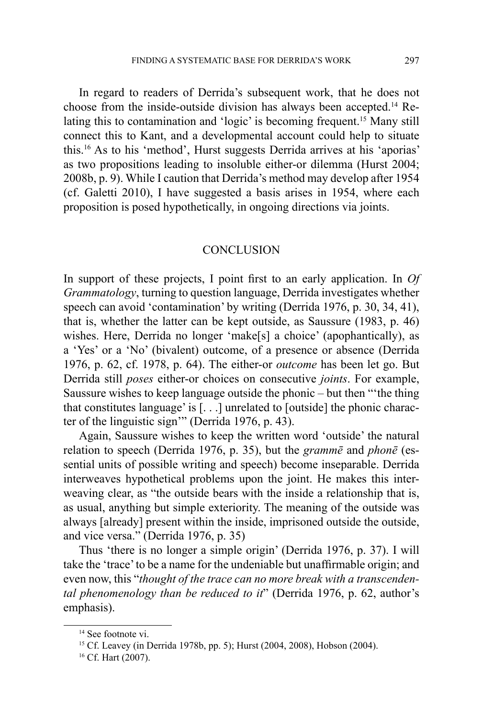In regard to readers of Derrida's subsequent work, that he does not choose from the inside-outside division has always been accepted.14 Relating this to contamination and 'logic' is becoming frequent.15 Many still connect this to Kant, and a developmental account could help to situate this.16 As to his 'method', Hurst suggests Derrida arrives at his 'aporias' as two propositions leading to insoluble either-or dilemma (Hurst 2004; 2008b, p. 9). While I caution that Derrida's method may develop after 1954 (cf. Galetti 2010), I have suggested a basis arises in 1954, where each proposition is posed hypothetically, in ongoing directions via joints.

# **CONCLUSION**

In support of these projects, I point first to an early application. In *Of Grammatology*, turning to question language, Derrida investigates whether speech can avoid 'contamination' by writing (Derrida 1976, p. 30, 34, 41), that is, whether the latter can be kept outside, as Saussure (1983, p. 46) wishes. Here, Derrida no longer 'make[s] a choice' (apophantically), as a 'Yes' or a 'No' (bivalent) outcome, of a presence or absence (Derrida 1976, p. 62, cf. 1978, p. 64). The either-or *outcome* has been let go. But Derrida still *poses* either-or choices on consecutive *joints*. For example, Saussure wishes to keep language outside the phonic – but then "'the thing that constitutes language' is [. . .] unrelated to [outside] the phonic character of the linguistic sign'" (Derrida 1976, p. 43).

Again, Saussure wishes to keep the written word 'outside' the natural relation to speech (Derrida 1976, p. 35), but the *grammē* and *phonē* (essential units of possible writing and speech) become inseparable. Derrida interweaves hypothetical problems upon the joint. He makes this interweaving clear, as "the outside bears with the inside a relationship that is, as usual, anything but simple exteriority. The meaning of the outside was always [already] present within the inside, imprisoned outside the outside, and vice versa." (Derrida 1976, p. 35)

Thus 'there is no longer a simple origin' (Derrida 1976, p. 37). I will take the 'trace' to be a name for the undeniable but unaffirmable origin; and even now, this "*thought of the trace can no more break with a transcendental phenomenology than be reduced to it*" (Derrida 1976, p. 62, author's emphasis).

<sup>&</sup>lt;sup>14</sup> See footnote vi.

<sup>15</sup> Cf. Leavey (in Derrida 1978b, pp. 5); Hurst (2004, 2008), Hobson (2004).

<sup>16</sup> Cf. Hart (2007).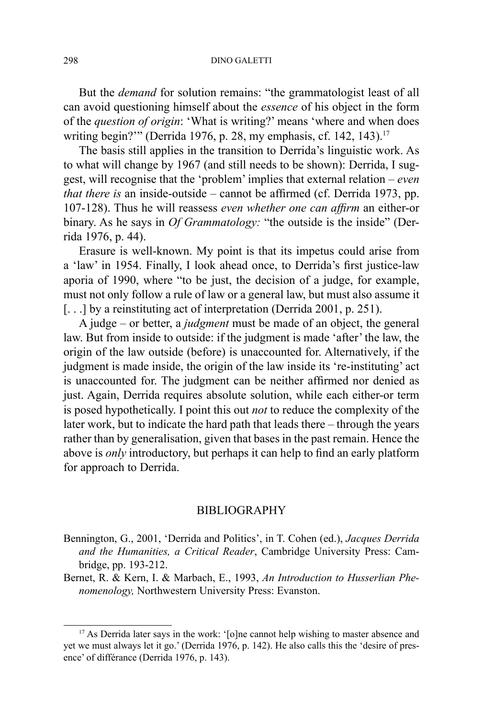But the *demand* for solution remains: "the grammatologist least of all can avoid questioning himself about the *essence* of his object in the form of the *question of origin*: 'What is writing?' means 'where and when does writing begin?"" (Derrida 1976, p. 28, my emphasis, cf. 142, 143).<sup>17</sup>

The basis still applies in the transition to Derrida's linguistic work. As to what will change by 1967 (and still needs to be shown): Derrida, I suggest, will recognise that the 'problem' implies that external relation – *even that there is* an inside-outside – cannot be affirmed (cf. Derrida 1973, pp. 107-128). Thus he will reassess *even whether one can affirm* an either-or binary. As he says in *Of Grammatology:* "the outside is the inside" (Derrida 1976, p. 44).

Erasure is well-known. My point is that its impetus could arise from a 'law' in 1954. Finally, I look ahead once, to Derrida's first justice-law aporia of 1990, where "to be just, the decision of a judge, for example, must not only follow a rule of law or a general law, but must also assume it [...] by a reinstituting act of interpretation (Derrida 2001, p. 251).

A judge – or better, a *judgment* must be made of an object, the general law. But from inside to outside: if the judgment is made 'after' the law, the origin of the law outside (before) is unaccounted for. Alternatively, if the judgment is made inside, the origin of the law inside its 're-instituting' act is unaccounted for. The judgment can be neither affirmed nor denied as just. Again, Derrida requires absolute solution, while each either-or term is posed hypothetically. I point this out *not* to reduce the complexity of the later work, but to indicate the hard path that leads there – through the years rather than by generalisation, given that bases in the past remain. Hence the above is *only* introductory, but perhaps it can help to find an early platform for approach to Derrida.

## BIBLIOGRAPHY

- Bennington, G., 2001, 'Derrida and Politics', in T. Cohen (ed.), *Jacques Derrida and the Humanities, a Critical Reader*, Cambridge University Press: Cambridge, pp. 193-212.
- Bernet, R. & Kern, I. & Marbach, E., 1993, *An Introduction to Husserlian Phenomenology,* Northwestern University Press: Evanston.

<sup>&</sup>lt;sup>17</sup> As Derrida later says in the work: '[o]ne cannot help wishing to master absence and yet we must always let it go.' (Derrida 1976, p. 142). He also calls this the 'desire of presence' of différance (Derrida 1976, p. 143).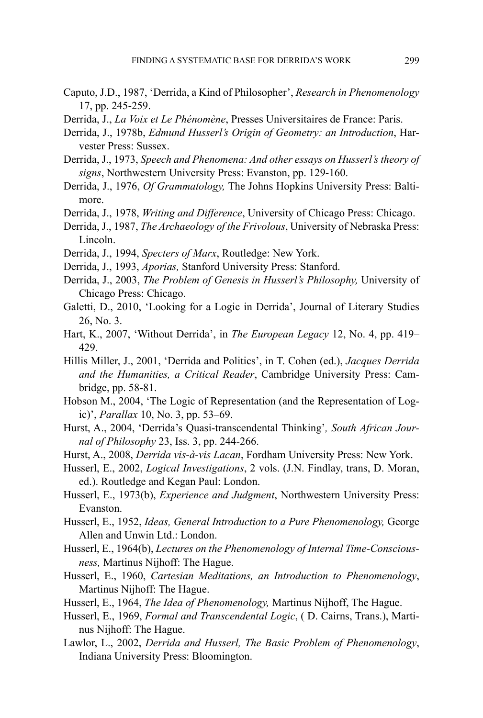- Caputo, J.D., 1987, 'Derrida, a Kind of Philosopher', *Research in Phenomenology*  17, pp. 245-259.
- Derrida, J., *La Voix et Le Phénomène*, Presses Universitaires de France: Paris.
- Derrida, J., 1978b, *Edmund Husserl's Origin of Geometry: an Introduction*, Harvester Press: Sussex.
- Derrida, J., 1973, *Speech and Phenomena: And other essays on Husserl's theory of signs*, Northwestern University Press: Evanston, pp. 129-160.
- Derrida, J., 1976, *Of Grammatology,* The Johns Hopkins University Press: Baltimore.
- Derrida, J., 1978, *Writing and Difference*, University of Chicago Press: Chicago.
- Derrida, J., 1987, *The Archaeology of the Frivolous*, University of Nebraska Press: Lincoln.
- Derrida, J., 1994, *Specters of Marx*, Routledge: New York.
- Derrida, J., 1993, *Aporias,* Stanford University Press: Stanford.
- Derrida, J., 2003, *The Problem of Genesis in Husserl's Philosophy,* University of Chicago Press: Chicago.
- Galetti, D., 2010, 'Looking for a Logic in Derrida', Journal of Literary Studies 26, No. 3.
- Hart, K., 2007, 'Without Derrida', in *The European Legacy* 12, No. 4, pp. 419– 429.
- Hillis Miller, J., 2001, 'Derrida and Politics', in T. Cohen (ed.), *Jacques Derrida and the Humanities, a Critical Reader*, Cambridge University Press: Cambridge, pp. 58-81.
- Hobson M., 2004, 'The Logic of Representation (and the Representation of Logic)', *Parallax* 10, No. 3, pp. 53–69.
- Hurst, A., 2004, 'Derrida's Quasi-transcendental Thinking'*, South African Journal of Philosophy* 23, Iss. 3, pp. 244-266.
- Hurst, A., 2008, *Derrida vis-à-vis Lacan*, Fordham University Press: New York.
- Husserl, E., 2002, *Logical Investigations*, 2 vols. (J.N. Findlay, trans, D. Moran, ed.). Routledge and Kegan Paul: London.
- Husserl, E., 1973(b), *Experience and Judgment*, Northwestern University Press: Evanston.
- Husserl, E., 1952, *Ideas, General Introduction to a Pure Phenomenology,* George Allen and Unwin Ltd.: London.
- Husserl, E., 1964(b), *Lectures on the Phenomenology of Internal Time-Consciousness,* Martinus Nijhoff: The Hague.
- Husserl, E., 1960, *Cartesian Meditations, an Introduction to Phenomenology*, Martinus Nijhoff: The Hague.
- Husserl, E., 1964, *The Idea of Phenomenology,* Martinus Nijhoff, The Hague.
- Husserl, E., 1969, *Formal and Transcendental Logic*, ( D. Cairns, Trans.), Martinus Nijhoff: The Hague.
- Lawlor, L., 2002, *Derrida and Husserl, The Basic Problem of Phenomenology*, Indiana University Press: Bloomington.